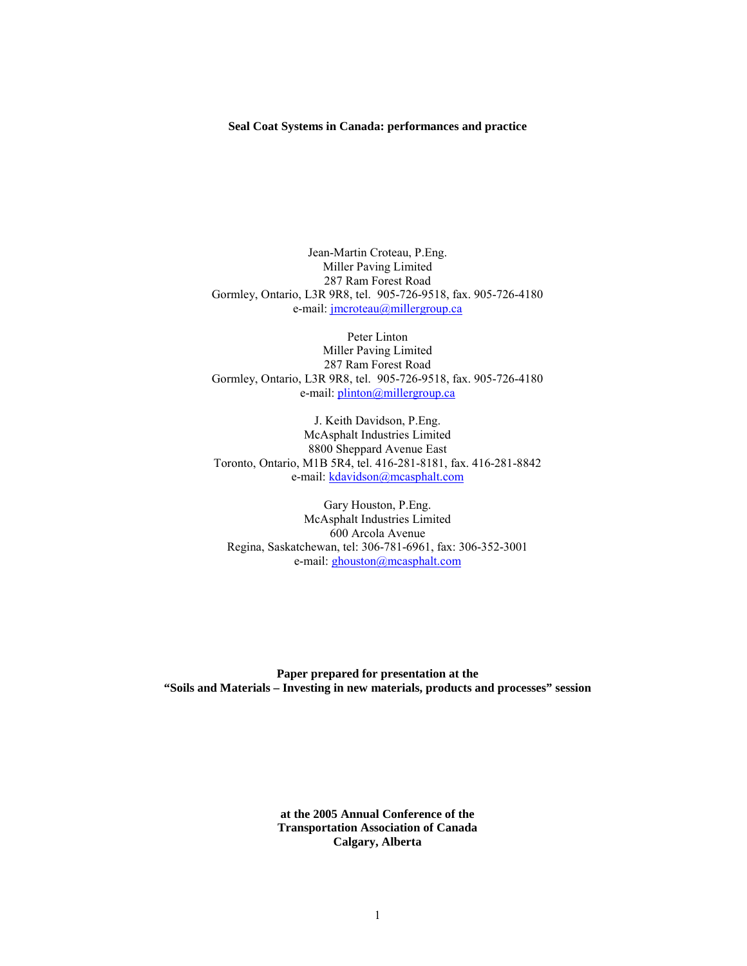### **Seal Coat Systems in Canada: performances and practice**

Jean-Martin Croteau, P.Eng. Miller Paving Limited 287 Ram Forest Road Gormley, Ontario, L3R 9R8, tel. 905-726-9518, fax. 905-726-4180 e-mail: jmcroteau@millergroup.ca

Peter Linton Miller Paving Limited 287 Ram Forest Road Gormley, Ontario, L3R 9R8, tel. 905-726-9518, fax. 905-726-4180 e-mail: plinton@millergroup.ca

J. Keith Davidson, P.Eng. McAsphalt Industries Limited 8800 Sheppard Avenue East Toronto, Ontario, M1B 5R4, tel. 416-281-8181, fax. 416-281-8842 e-mail: kdavidson@mcasphalt.com

Gary Houston, P.Eng. McAsphalt Industries Limited 600 Arcola Avenue Regina, Saskatchewan, tel: 306-781-6961, fax: 306-352-3001 e-mail: ghouston@mcasphalt.com

**Paper prepared for presentation at the "Soils and Materials – Investing in new materials, products and processes" session** 

> **at the 2005 Annual Conference of the Transportation Association of Canada Calgary, Alberta**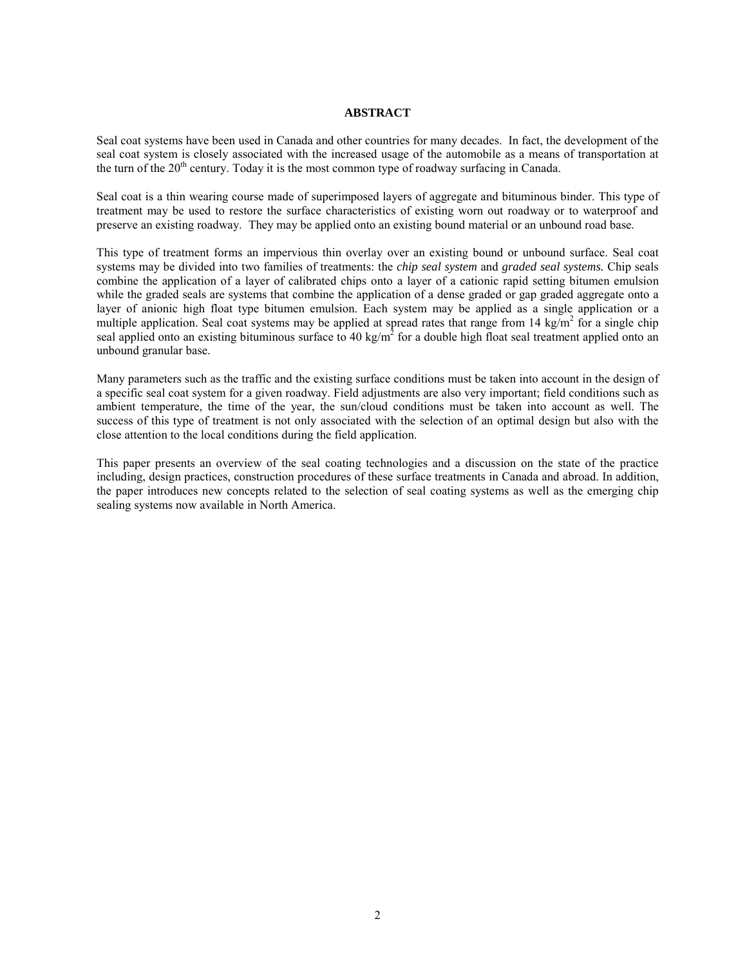### **ABSTRACT**

Seal coat systems have been used in Canada and other countries for many decades. In fact, the development of the seal coat system is closely associated with the increased usage of the automobile as a means of transportation at the turn of the  $20<sup>th</sup>$  century. Today it is the most common type of roadway surfacing in Canada.

Seal coat is a thin wearing course made of superimposed layers of aggregate and bituminous binder. This type of treatment may be used to restore the surface characteristics of existing worn out roadway or to waterproof and preserve an existing roadway. They may be applied onto an existing bound material or an unbound road base.

This type of treatment forms an impervious thin overlay over an existing bound or unbound surface. Seal coat systems may be divided into two families of treatments: the *chip seal system* and *graded seal systems.* Chip seals combine the application of a layer of calibrated chips onto a layer of a cationic rapid setting bitumen emulsion while the graded seals are systems that combine the application of a dense graded or gap graded aggregate onto a layer of anionic high float type bitumen emulsion. Each system may be applied as a single application or a multiple application. Seal coat systems may be applied at spread rates that range from 14 kg/m<sup>2</sup> for a single chip seal applied onto an existing bituminous surface to 40 kg/m<sup>2</sup> for a double high float seal treatment applied onto an unbound granular base.

Many parameters such as the traffic and the existing surface conditions must be taken into account in the design of a specific seal coat system for a given roadway. Field adjustments are also very important; field conditions such as ambient temperature, the time of the year, the sun/cloud conditions must be taken into account as well. The success of this type of treatment is not only associated with the selection of an optimal design but also with the close attention to the local conditions during the field application.

This paper presents an overview of the seal coating technologies and a discussion on the state of the practice including, design practices, construction procedures of these surface treatments in Canada and abroad. In addition, the paper introduces new concepts related to the selection of seal coating systems as well as the emerging chip sealing systems now available in North America.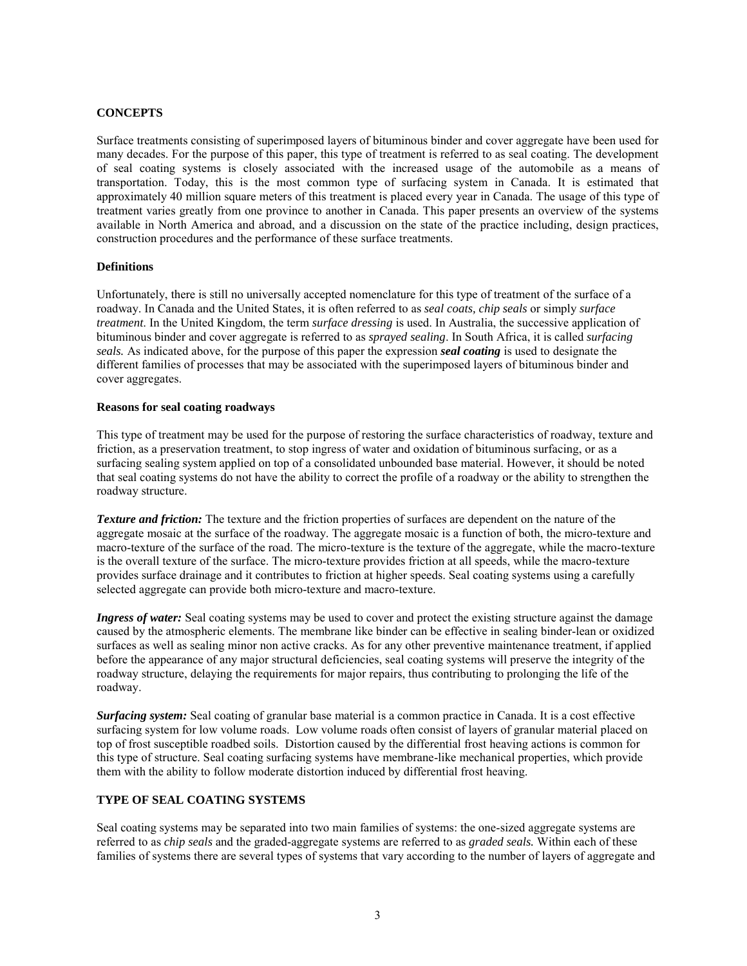## **CONCEPTS**

Surface treatments consisting of superimposed layers of bituminous binder and cover aggregate have been used for many decades. For the purpose of this paper, this type of treatment is referred to as seal coating. The development of seal coating systems is closely associated with the increased usage of the automobile as a means of transportation. Today, this is the most common type of surfacing system in Canada. It is estimated that approximately 40 million square meters of this treatment is placed every year in Canada. The usage of this type of treatment varies greatly from one province to another in Canada. This paper presents an overview of the systems available in North America and abroad, and a discussion on the state of the practice including, design practices, construction procedures and the performance of these surface treatments.

### **Definitions**

Unfortunately, there is still no universally accepted nomenclature for this type of treatment of the surface of a roadway. In Canada and the United States, it is often referred to as *seal coats, chip seals* or simply *surface treatment*. In the United Kingdom, the term *surface dressing* is used. In Australia, the successive application of bituminous binder and cover aggregate is referred to as *sprayed sealing*. In South Africa, it is called *surfacing seals.* As indicated above, for the purpose of this paper the expression *seal coating* is used to designate the different families of processes that may be associated with the superimposed layers of bituminous binder and cover aggregates.

#### **Reasons for seal coating roadways**

This type of treatment may be used for the purpose of restoring the surface characteristics of roadway, texture and friction, as a preservation treatment, to stop ingress of water and oxidation of bituminous surfacing, or as a surfacing sealing system applied on top of a consolidated unbounded base material. However, it should be noted that seal coating systems do not have the ability to correct the profile of a roadway or the ability to strengthen the roadway structure.

*Texture and friction:* The texture and the friction properties of surfaces are dependent on the nature of the aggregate mosaic at the surface of the roadway. The aggregate mosaic is a function of both, the micro-texture and macro-texture of the surface of the road. The micro-texture is the texture of the aggregate, while the macro-texture is the overall texture of the surface. The micro-texture provides friction at all speeds, while the macro-texture provides surface drainage and it contributes to friction at higher speeds. Seal coating systems using a carefully selected aggregate can provide both micro-texture and macro-texture.

*Ingress of water:* Seal coating systems may be used to cover and protect the existing structure against the damage caused by the atmospheric elements. The membrane like binder can be effective in sealing binder-lean or oxidized surfaces as well as sealing minor non active cracks. As for any other preventive maintenance treatment, if applied before the appearance of any major structural deficiencies, seal coating systems will preserve the integrity of the roadway structure, delaying the requirements for major repairs, thus contributing to prolonging the life of the roadway.

*Surfacing system:* Seal coating of granular base material is a common practice in Canada. It is a cost effective surfacing system for low volume roads. Low volume roads often consist of layers of granular material placed on top of frost susceptible roadbed soils. Distortion caused by the differential frost heaving actions is common for this type of structure. Seal coating surfacing systems have membrane-like mechanical properties, which provide them with the ability to follow moderate distortion induced by differential frost heaving.

### **TYPE OF SEAL COATING SYSTEMS**

Seal coating systems may be separated into two main families of systems: the one-sized aggregate systems are referred to as *chip seals* and the graded-aggregate systems are referred to as *graded seals.* Within each of these families of systems there are several types of systems that vary according to the number of layers of aggregate and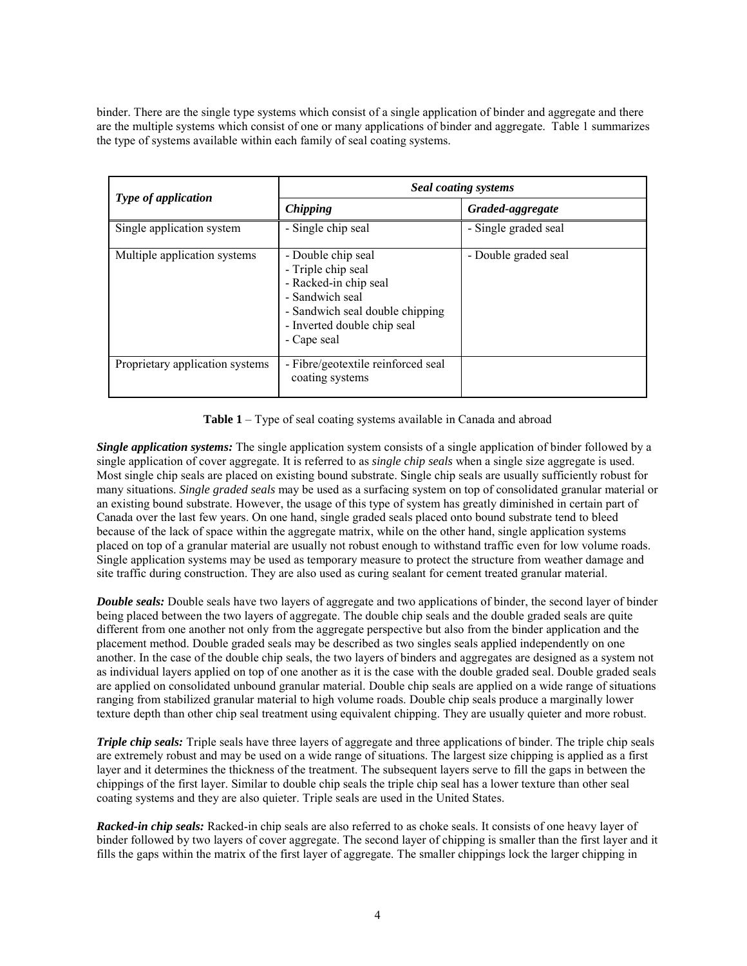binder. There are the single type systems which consist of a single application of binder and aggregate and there are the multiple systems which consist of one or many applications of binder and aggregate. Table 1 summarizes the type of systems available within each family of seal coating systems.

| <b>Type of application</b>      | <b>Seal coating systems</b>                                                                                                                                           |                      |
|---------------------------------|-----------------------------------------------------------------------------------------------------------------------------------------------------------------------|----------------------|
|                                 | <b>Chipping</b>                                                                                                                                                       | Graded-aggregate     |
| Single application system       | - Single chip seal                                                                                                                                                    | - Single graded seal |
| Multiple application systems    | - Double chip seal<br>- Triple chip seal<br>- Racked-in chip seal<br>- Sandwich seal<br>- Sandwich seal double chipping<br>- Inverted double chip seal<br>- Cape seal | - Double graded seal |
| Proprietary application systems | - Fibre/geotextile reinforced seal<br>coating systems                                                                                                                 |                      |

**Table 1** – Type of seal coating systems available in Canada and abroad

*Single application systems:* The single application system consists of a single application of binder followed by a single application of cover aggregate. It is referred to as *single chip seals* when a single size aggregate is used. Most single chip seals are placed on existing bound substrate. Single chip seals are usually sufficiently robust for many situations. *Single graded seals* may be used as a surfacing system on top of consolidated granular material or an existing bound substrate. However, the usage of this type of system has greatly diminished in certain part of Canada over the last few years. On one hand, single graded seals placed onto bound substrate tend to bleed because of the lack of space within the aggregate matrix, while on the other hand, single application systems placed on top of a granular material are usually not robust enough to withstand traffic even for low volume roads. Single application systems may be used as temporary measure to protect the structure from weather damage and site traffic during construction. They are also used as curing sealant for cement treated granular material.

*Double seals:* Double seals have two layers of aggregate and two applications of binder, the second layer of binder being placed between the two layers of aggregate. The double chip seals and the double graded seals are quite different from one another not only from the aggregate perspective but also from the binder application and the placement method. Double graded seals may be described as two singles seals applied independently on one another. In the case of the double chip seals, the two layers of binders and aggregates are designed as a system not as individual layers applied on top of one another as it is the case with the double graded seal. Double graded seals are applied on consolidated unbound granular material. Double chip seals are applied on a wide range of situations ranging from stabilized granular material to high volume roads. Double chip seals produce a marginally lower texture depth than other chip seal treatment using equivalent chipping. They are usually quieter and more robust.

*Triple chip seals:* Triple seals have three layers of aggregate and three applications of binder. The triple chip seals are extremely robust and may be used on a wide range of situations. The largest size chipping is applied as a first layer and it determines the thickness of the treatment. The subsequent layers serve to fill the gaps in between the chippings of the first layer. Similar to double chip seals the triple chip seal has a lower texture than other seal coating systems and they are also quieter. Triple seals are used in the United States.

*Racked-in chip seals:* Racked-in chip seals are also referred to as choke seals. It consists of one heavy layer of binder followed by two layers of cover aggregate. The second layer of chipping is smaller than the first layer and it fills the gaps within the matrix of the first layer of aggregate. The smaller chippings lock the larger chipping in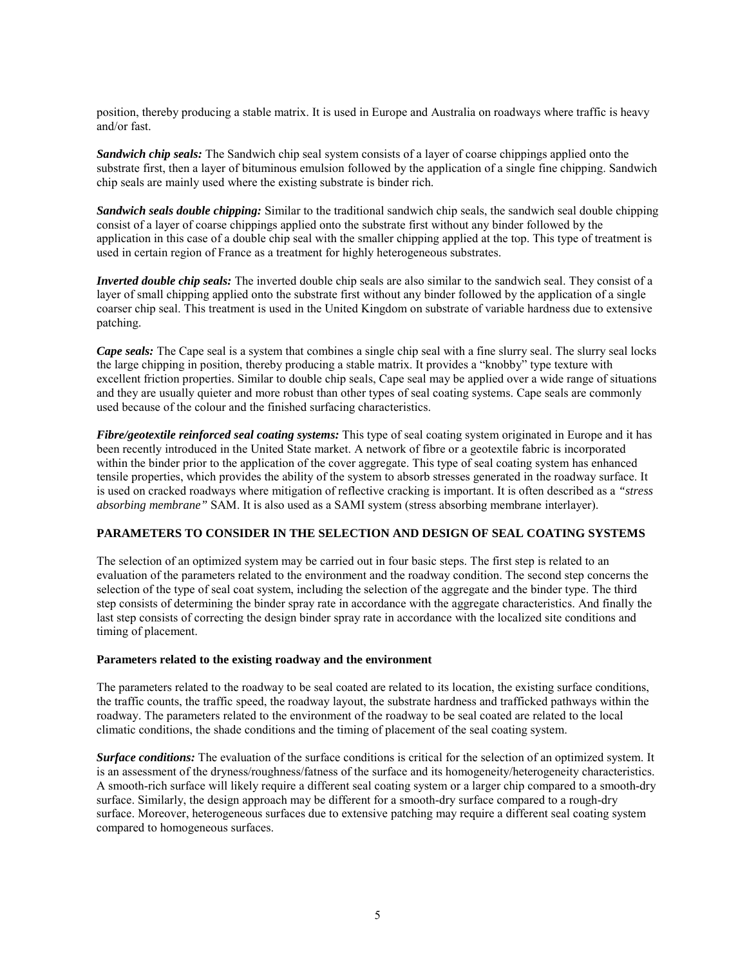position, thereby producing a stable matrix. It is used in Europe and Australia on roadways where traffic is heavy and/or fast.

*Sandwich chip seals:* The Sandwich chip seal system consists of a layer of coarse chippings applied onto the substrate first, then a layer of bituminous emulsion followed by the application of a single fine chipping. Sandwich chip seals are mainly used where the existing substrate is binder rich.

*Sandwich seals double chipping:* Similar to the traditional sandwich chip seals, the sandwich seal double chipping consist of a layer of coarse chippings applied onto the substrate first without any binder followed by the application in this case of a double chip seal with the smaller chipping applied at the top. This type of treatment is used in certain region of France as a treatment for highly heterogeneous substrates.

*Inverted double chip seals:* The inverted double chip seals are also similar to the sandwich seal. They consist of a layer of small chipping applied onto the substrate first without any binder followed by the application of a single coarser chip seal. This treatment is used in the United Kingdom on substrate of variable hardness due to extensive patching.

*Cape seals:* The Cape seal is a system that combines a single chip seal with a fine slurry seal. The slurry seal locks the large chipping in position, thereby producing a stable matrix. It provides a "knobby" type texture with excellent friction properties. Similar to double chip seals, Cape seal may be applied over a wide range of situations and they are usually quieter and more robust than other types of seal coating systems. Cape seals are commonly used because of the colour and the finished surfacing characteristics.

*Fibre/geotextile reinforced seal coating systems:* This type of seal coating system originated in Europe and it has been recently introduced in the United State market. A network of fibre or a geotextile fabric is incorporated within the binder prior to the application of the cover aggregate. This type of seal coating system has enhanced tensile properties, which provides the ability of the system to absorb stresses generated in the roadway surface. It is used on cracked roadways where mitigation of reflective cracking is important. It is often described as a *"stress absorbing membrane"* SAM. It is also used as a SAMI system (stress absorbing membrane interlayer).

## **PARAMETERS TO CONSIDER IN THE SELECTION AND DESIGN OF SEAL COATING SYSTEMS**

The selection of an optimized system may be carried out in four basic steps. The first step is related to an evaluation of the parameters related to the environment and the roadway condition. The second step concerns the selection of the type of seal coat system, including the selection of the aggregate and the binder type. The third step consists of determining the binder spray rate in accordance with the aggregate characteristics. And finally the last step consists of correcting the design binder spray rate in accordance with the localized site conditions and timing of placement.

### **Parameters related to the existing roadway and the environment**

The parameters related to the roadway to be seal coated are related to its location, the existing surface conditions, the traffic counts, the traffic speed, the roadway layout, the substrate hardness and trafficked pathways within the roadway. The parameters related to the environment of the roadway to be seal coated are related to the local climatic conditions, the shade conditions and the timing of placement of the seal coating system.

*Surface conditions:* The evaluation of the surface conditions is critical for the selection of an optimized system. It is an assessment of the dryness/roughness/fatness of the surface and its homogeneity/heterogeneity characteristics. A smooth-rich surface will likely require a different seal coating system or a larger chip compared to a smooth-dry surface. Similarly, the design approach may be different for a smooth-dry surface compared to a rough-dry surface. Moreover, heterogeneous surfaces due to extensive patching may require a different seal coating system compared to homogeneous surfaces.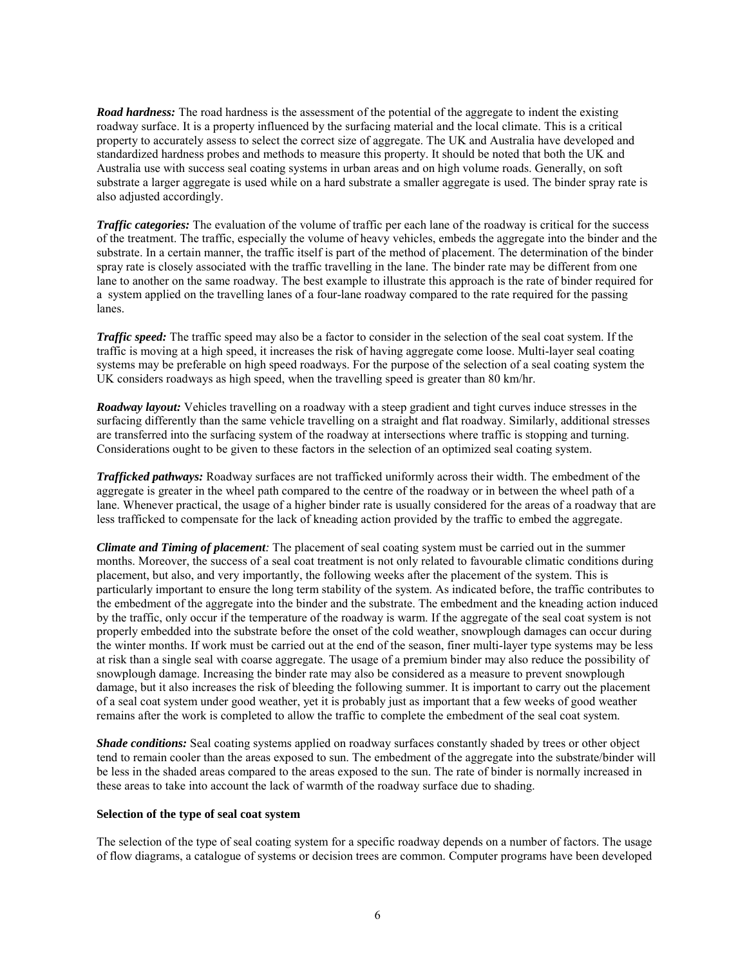*Road hardness:* The road hardness is the assessment of the potential of the aggregate to indent the existing roadway surface. It is a property influenced by the surfacing material and the local climate. This is a critical property to accurately assess to select the correct size of aggregate. The UK and Australia have developed and standardized hardness probes and methods to measure this property. It should be noted that both the UK and Australia use with success seal coating systems in urban areas and on high volume roads. Generally, on soft substrate a larger aggregate is used while on a hard substrate a smaller aggregate is used. The binder spray rate is also adjusted accordingly.

*Traffic categories:* The evaluation of the volume of traffic per each lane of the roadway is critical for the success of the treatment. The traffic, especially the volume of heavy vehicles, embeds the aggregate into the binder and the substrate. In a certain manner, the traffic itself is part of the method of placement. The determination of the binder spray rate is closely associated with the traffic travelling in the lane. The binder rate may be different from one lane to another on the same roadway. The best example to illustrate this approach is the rate of binder required for a system applied on the travelling lanes of a four-lane roadway compared to the rate required for the passing lanes.

*Traffic speed:* The traffic speed may also be a factor to consider in the selection of the seal coat system. If the traffic is moving at a high speed, it increases the risk of having aggregate come loose. Multi-layer seal coating systems may be preferable on high speed roadways. For the purpose of the selection of a seal coating system the UK considers roadways as high speed, when the travelling speed is greater than 80 km/hr.

*Roadway layout:* Vehicles travelling on a roadway with a steep gradient and tight curves induce stresses in the surfacing differently than the same vehicle travelling on a straight and flat roadway. Similarly, additional stresses are transferred into the surfacing system of the roadway at intersections where traffic is stopping and turning. Considerations ought to be given to these factors in the selection of an optimized seal coating system.

*Trafficked pathways:* Roadway surfaces are not trafficked uniformly across their width. The embedment of the aggregate is greater in the wheel path compared to the centre of the roadway or in between the wheel path of a lane. Whenever practical, the usage of a higher binder rate is usually considered for the areas of a roadway that are less trafficked to compensate for the lack of kneading action provided by the traffic to embed the aggregate.

*Climate and Timing of placement:* The placement of seal coating system must be carried out in the summer months. Moreover, the success of a seal coat treatment is not only related to favourable climatic conditions during placement, but also, and very importantly, the following weeks after the placement of the system. This is particularly important to ensure the long term stability of the system. As indicated before, the traffic contributes to the embedment of the aggregate into the binder and the substrate. The embedment and the kneading action induced by the traffic, only occur if the temperature of the roadway is warm. If the aggregate of the seal coat system is not properly embedded into the substrate before the onset of the cold weather, snowplough damages can occur during the winter months. If work must be carried out at the end of the season, finer multi-layer type systems may be less at risk than a single seal with coarse aggregate. The usage of a premium binder may also reduce the possibility of snowplough damage. Increasing the binder rate may also be considered as a measure to prevent snowplough damage, but it also increases the risk of bleeding the following summer. It is important to carry out the placement of a seal coat system under good weather, yet it is probably just as important that a few weeks of good weather remains after the work is completed to allow the traffic to complete the embedment of the seal coat system.

*Shade conditions:* Seal coating systems applied on roadway surfaces constantly shaded by trees or other object tend to remain cooler than the areas exposed to sun. The embedment of the aggregate into the substrate/binder will be less in the shaded areas compared to the areas exposed to the sun. The rate of binder is normally increased in these areas to take into account the lack of warmth of the roadway surface due to shading.

### **Selection of the type of seal coat system**

The selection of the type of seal coating system for a specific roadway depends on a number of factors. The usage of flow diagrams, a catalogue of systems or decision trees are common. Computer programs have been developed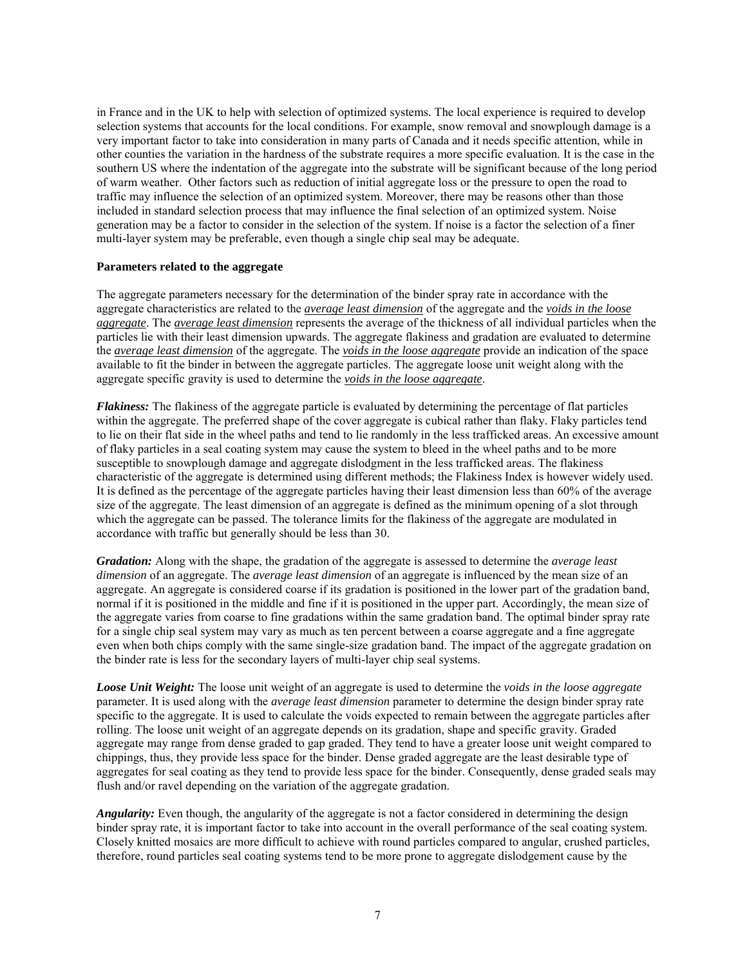in France and in the UK to help with selection of optimized systems. The local experience is required to develop selection systems that accounts for the local conditions. For example, snow removal and snowplough damage is a very important factor to take into consideration in many parts of Canada and it needs specific attention, while in other counties the variation in the hardness of the substrate requires a more specific evaluation. It is the case in the southern US where the indentation of the aggregate into the substrate will be significant because of the long period of warm weather. Other factors such as reduction of initial aggregate loss or the pressure to open the road to traffic may influence the selection of an optimized system. Moreover, there may be reasons other than those included in standard selection process that may influence the final selection of an optimized system. Noise generation may be a factor to consider in the selection of the system. If noise is a factor the selection of a finer multi-layer system may be preferable, even though a single chip seal may be adequate.

### **Parameters related to the aggregate**

The aggregate parameters necessary for the determination of the binder spray rate in accordance with the aggregate characteristics are related to the *average least dimension* of the aggregate and the *voids in the loose aggregate*. The *average least dimension* represents the average of the thickness of all individual particles when the particles lie with their least dimension upwards. The aggregate flakiness and gradation are evaluated to determine the *average least dimension* of the aggregate. The *voids in the loose aggregate* provide an indication of the space available to fit the binder in between the aggregate particles. The aggregate loose unit weight along with the aggregate specific gravity is used to determine the *voids in the loose aggregate*.

*Flakiness:* The flakiness of the aggregate particle is evaluated by determining the percentage of flat particles within the aggregate. The preferred shape of the cover aggregate is cubical rather than flaky. Flaky particles tend to lie on their flat side in the wheel paths and tend to lie randomly in the less trafficked areas. An excessive amount of flaky particles in a seal coating system may cause the system to bleed in the wheel paths and to be more susceptible to snowplough damage and aggregate dislodgment in the less trafficked areas. The flakiness characteristic of the aggregate is determined using different methods; the Flakiness Index is however widely used. It is defined as the percentage of the aggregate particles having their least dimension less than 60% of the average size of the aggregate. The least dimension of an aggregate is defined as the minimum opening of a slot through which the aggregate can be passed. The tolerance limits for the flakiness of the aggregate are modulated in accordance with traffic but generally should be less than 30.

*Gradation:* Along with the shape, the gradation of the aggregate is assessed to determine the *average least dimension* of an aggregate. The *average least dimension* of an aggregate is influenced by the mean size of an aggregate. An aggregate is considered coarse if its gradation is positioned in the lower part of the gradation band, normal if it is positioned in the middle and fine if it is positioned in the upper part. Accordingly, the mean size of the aggregate varies from coarse to fine gradations within the same gradation band. The optimal binder spray rate for a single chip seal system may vary as much as ten percent between a coarse aggregate and a fine aggregate even when both chips comply with the same single-size gradation band. The impact of the aggregate gradation on the binder rate is less for the secondary layers of multi-layer chip seal systems.

*Loose Unit Weight:* The loose unit weight of an aggregate is used to determine the *voids in the loose aggregate* parameter. It is used along with the *average least dimension* parameter to determine the design binder spray rate specific to the aggregate. It is used to calculate the voids expected to remain between the aggregate particles after rolling. The loose unit weight of an aggregate depends on its gradation, shape and specific gravity. Graded aggregate may range from dense graded to gap graded. They tend to have a greater loose unit weight compared to chippings, thus, they provide less space for the binder. Dense graded aggregate are the least desirable type of aggregates for seal coating as they tend to provide less space for the binder. Consequently, dense graded seals may flush and/or ravel depending on the variation of the aggregate gradation.

*Angularity:* Even though, the angularity of the aggregate is not a factor considered in determining the design binder spray rate, it is important factor to take into account in the overall performance of the seal coating system. Closely knitted mosaics are more difficult to achieve with round particles compared to angular, crushed particles, therefore, round particles seal coating systems tend to be more prone to aggregate dislodgement cause by the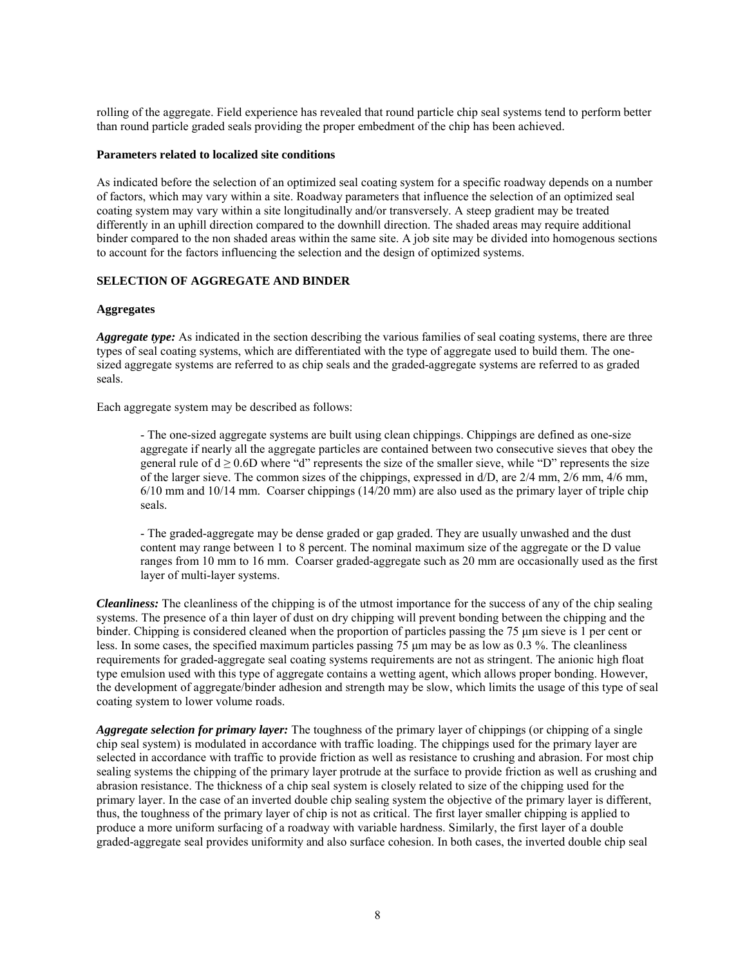rolling of the aggregate. Field experience has revealed that round particle chip seal systems tend to perform better than round particle graded seals providing the proper embedment of the chip has been achieved.

### **Parameters related to localized site conditions**

As indicated before the selection of an optimized seal coating system for a specific roadway depends on a number of factors, which may vary within a site. Roadway parameters that influence the selection of an optimized seal coating system may vary within a site longitudinally and/or transversely. A steep gradient may be treated differently in an uphill direction compared to the downhill direction. The shaded areas may require additional binder compared to the non shaded areas within the same site. A job site may be divided into homogenous sections to account for the factors influencing the selection and the design of optimized systems.

# **SELECTION OF AGGREGATE AND BINDER**

### **Aggregates**

*Aggregate type:* As indicated in the section describing the various families of seal coating systems, there are three types of seal coating systems, which are differentiated with the type of aggregate used to build them. The onesized aggregate systems are referred to as chip seals and the graded-aggregate systems are referred to as graded seals.

Each aggregate system may be described as follows:

- The one-sized aggregate systems are built using clean chippings. Chippings are defined as one-size aggregate if nearly all the aggregate particles are contained between two consecutive sieves that obey the general rule of  $d \ge 0.6D$  where "d" represents the size of the smaller sieve, while "D" represents the size of the larger sieve. The common sizes of the chippings, expressed in d/D, are 2/4 mm, 2/6 mm, 4/6 mm,  $6/10$  mm and  $10/14$  mm. Coarser chippings  $(14/20$  mm) are also used as the primary layer of triple chip seals.

- The graded-aggregate may be dense graded or gap graded. They are usually unwashed and the dust content may range between 1 to 8 percent. The nominal maximum size of the aggregate or the D value ranges from 10 mm to 16 mm. Coarser graded-aggregate such as 20 mm are occasionally used as the first layer of multi-layer systems.

*Cleanliness:* The cleanliness of the chipping is of the utmost importance for the success of any of the chip sealing systems. The presence of a thin layer of dust on dry chipping will prevent bonding between the chipping and the binder. Chipping is considered cleaned when the proportion of particles passing the 75 µm sieve is 1 per cent or less. In some cases, the specified maximum particles passing 75 µm may be as low as 0.3 %. The cleanliness requirements for graded-aggregate seal coating systems requirements are not as stringent. The anionic high float type emulsion used with this type of aggregate contains a wetting agent, which allows proper bonding. However, the development of aggregate/binder adhesion and strength may be slow, which limits the usage of this type of seal coating system to lower volume roads.

*Aggregate selection for primary layer:* The toughness of the primary layer of chippings (or chipping of a single chip seal system) is modulated in accordance with traffic loading. The chippings used for the primary layer are selected in accordance with traffic to provide friction as well as resistance to crushing and abrasion. For most chip sealing systems the chipping of the primary layer protrude at the surface to provide friction as well as crushing and abrasion resistance. The thickness of a chip seal system is closely related to size of the chipping used for the primary layer. In the case of an inverted double chip sealing system the objective of the primary layer is different, thus, the toughness of the primary layer of chip is not as critical. The first layer smaller chipping is applied to produce a more uniform surfacing of a roadway with variable hardness. Similarly, the first layer of a double graded-aggregate seal provides uniformity and also surface cohesion. In both cases, the inverted double chip seal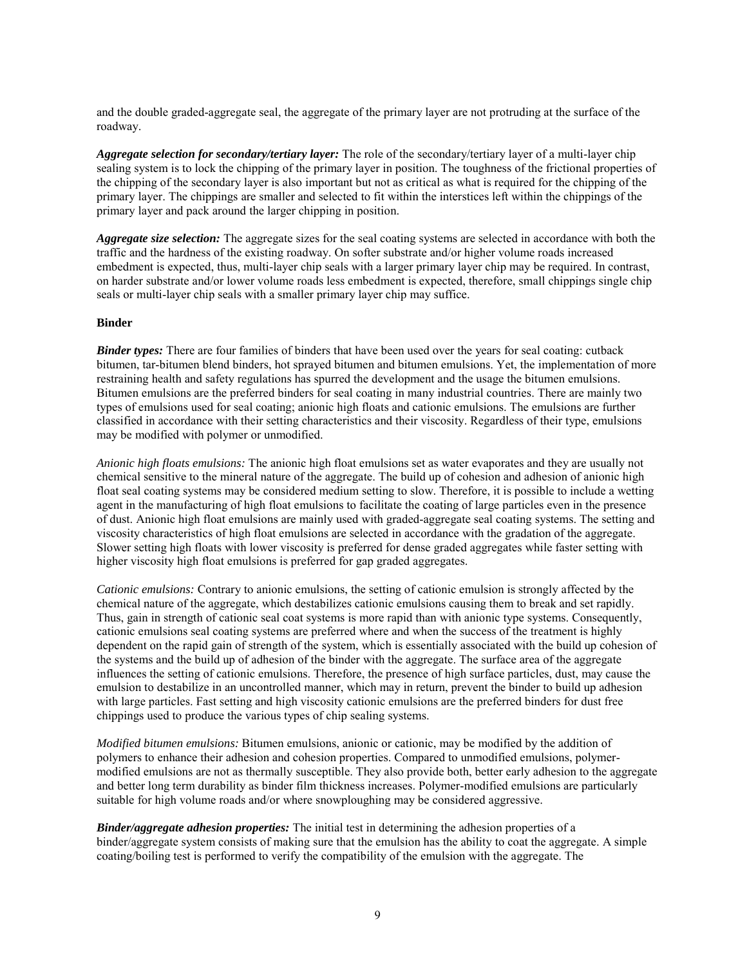and the double graded-aggregate seal, the aggregate of the primary layer are not protruding at the surface of the roadway.

*Aggregate selection for secondary/tertiary layer:* The role of the secondary/tertiary layer of a multi-layer chip sealing system is to lock the chipping of the primary layer in position. The toughness of the frictional properties of the chipping of the secondary layer is also important but not as critical as what is required for the chipping of the primary layer. The chippings are smaller and selected to fit within the interstices left within the chippings of the primary layer and pack around the larger chipping in position.

*Aggregate size selection:* The aggregate sizes for the seal coating systems are selected in accordance with both the traffic and the hardness of the existing roadway. On softer substrate and/or higher volume roads increased embedment is expected, thus, multi-layer chip seals with a larger primary layer chip may be required. In contrast, on harder substrate and/or lower volume roads less embedment is expected, therefore, small chippings single chip seals or multi-layer chip seals with a smaller primary layer chip may suffice.

## **Binder**

*Binder types:* There are four families of binders that have been used over the years for seal coating: cutback bitumen, tar-bitumen blend binders, hot sprayed bitumen and bitumen emulsions. Yet, the implementation of more restraining health and safety regulations has spurred the development and the usage the bitumen emulsions. Bitumen emulsions are the preferred binders for seal coating in many industrial countries. There are mainly two types of emulsions used for seal coating; anionic high floats and cationic emulsions. The emulsions are further classified in accordance with their setting characteristics and their viscosity. Regardless of their type, emulsions may be modified with polymer or unmodified.

*Anionic high floats emulsions:* The anionic high float emulsions set as water evaporates and they are usually not chemical sensitive to the mineral nature of the aggregate. The build up of cohesion and adhesion of anionic high float seal coating systems may be considered medium setting to slow. Therefore, it is possible to include a wetting agent in the manufacturing of high float emulsions to facilitate the coating of large particles even in the presence of dust. Anionic high float emulsions are mainly used with graded-aggregate seal coating systems. The setting and viscosity characteristics of high float emulsions are selected in accordance with the gradation of the aggregate. Slower setting high floats with lower viscosity is preferred for dense graded aggregates while faster setting with higher viscosity high float emulsions is preferred for gap graded aggregates.

*Cationic emulsions:* Contrary to anionic emulsions, the setting of cationic emulsion is strongly affected by the chemical nature of the aggregate, which destabilizes cationic emulsions causing them to break and set rapidly. Thus, gain in strength of cationic seal coat systems is more rapid than with anionic type systems. Consequently, cationic emulsions seal coating systems are preferred where and when the success of the treatment is highly dependent on the rapid gain of strength of the system, which is essentially associated with the build up cohesion of the systems and the build up of adhesion of the binder with the aggregate. The surface area of the aggregate influences the setting of cationic emulsions. Therefore, the presence of high surface particles, dust, may cause the emulsion to destabilize in an uncontrolled manner, which may in return, prevent the binder to build up adhesion with large particles. Fast setting and high viscosity cationic emulsions are the preferred binders for dust free chippings used to produce the various types of chip sealing systems.

*Modified bitumen emulsions:* Bitumen emulsions, anionic or cationic, may be modified by the addition of polymers to enhance their adhesion and cohesion properties. Compared to unmodified emulsions, polymermodified emulsions are not as thermally susceptible. They also provide both, better early adhesion to the aggregate and better long term durability as binder film thickness increases. Polymer-modified emulsions are particularly suitable for high volume roads and/or where snowploughing may be considered aggressive.

*Binder/aggregate adhesion properties:* The initial test in determining the adhesion properties of a binder/aggregate system consists of making sure that the emulsion has the ability to coat the aggregate. A simple coating/boiling test is performed to verify the compatibility of the emulsion with the aggregate. The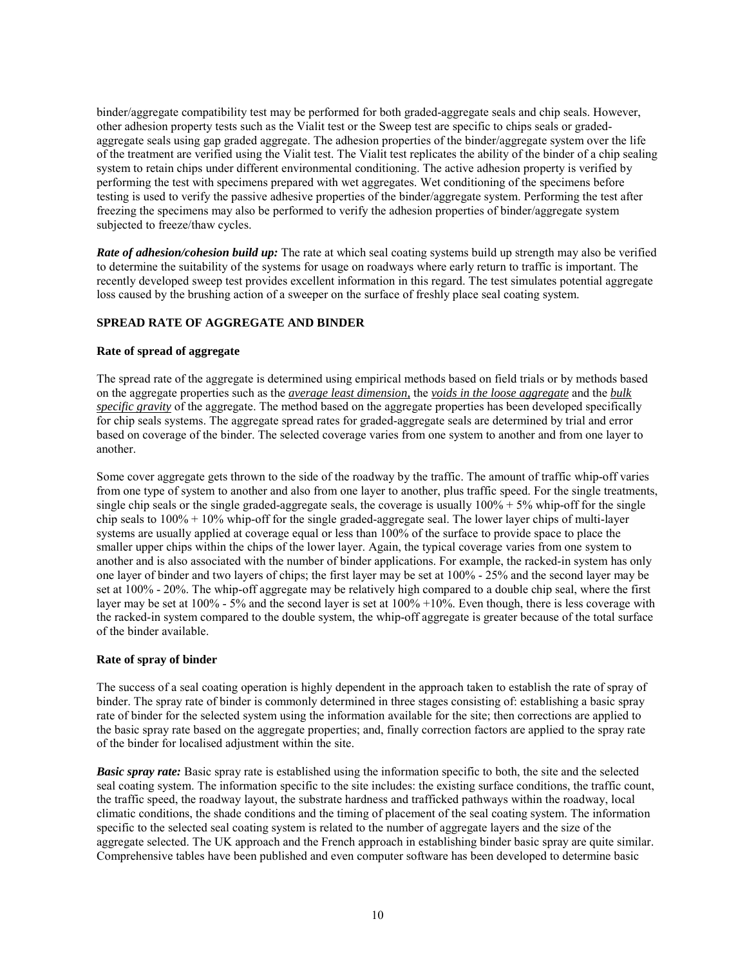binder/aggregate compatibility test may be performed for both graded-aggregate seals and chip seals. However, other adhesion property tests such as the Vialit test or the Sweep test are specific to chips seals or gradedaggregate seals using gap graded aggregate. The adhesion properties of the binder/aggregate system over the life of the treatment are verified using the Vialit test. The Vialit test replicates the ability of the binder of a chip sealing system to retain chips under different environmental conditioning. The active adhesion property is verified by performing the test with specimens prepared with wet aggregates. Wet conditioning of the specimens before testing is used to verify the passive adhesive properties of the binder/aggregate system. Performing the test after freezing the specimens may also be performed to verify the adhesion properties of binder/aggregate system subjected to freeze/thaw cycles.

*Rate of adhesion/cohesion build up:* The rate at which seal coating systems build up strength may also be verified to determine the suitability of the systems for usage on roadways where early return to traffic is important. The recently developed sweep test provides excellent information in this regard. The test simulates potential aggregate loss caused by the brushing action of a sweeper on the surface of freshly place seal coating system.

## **SPREAD RATE OF AGGREGATE AND BINDER**

### **Rate of spread of aggregate**

The spread rate of the aggregate is determined using empirical methods based on field trials or by methods based on the aggregate properties such as the *average least dimension,* the *voids in the loose aggregate* and the *bulk specific gravity* of the aggregate. The method based on the aggregate properties has been developed specifically for chip seals systems. The aggregate spread rates for graded-aggregate seals are determined by trial and error based on coverage of the binder. The selected coverage varies from one system to another and from one layer to another.

Some cover aggregate gets thrown to the side of the roadway by the traffic. The amount of traffic whip-off varies from one type of system to another and also from one layer to another, plus traffic speed. For the single treatments, single chip seals or the single graded-aggregate seals, the coverage is usually  $100\% + 5\%$  whip-off for the single chip seals to 100% + 10% whip-off for the single graded-aggregate seal. The lower layer chips of multi-layer systems are usually applied at coverage equal or less than 100% of the surface to provide space to place the smaller upper chips within the chips of the lower layer. Again, the typical coverage varies from one system to another and is also associated with the number of binder applications. For example, the racked-in system has only one layer of binder and two layers of chips; the first layer may be set at 100% - 25% and the second layer may be set at 100% - 20%. The whip-off aggregate may be relatively high compared to a double chip seal, where the first layer may be set at 100% - 5% and the second layer is set at 100% +10%. Even though, there is less coverage with the racked-in system compared to the double system, the whip-off aggregate is greater because of the total surface of the binder available.

### **Rate of spray of binder**

The success of a seal coating operation is highly dependent in the approach taken to establish the rate of spray of binder. The spray rate of binder is commonly determined in three stages consisting of: establishing a basic spray rate of binder for the selected system using the information available for the site; then corrections are applied to the basic spray rate based on the aggregate properties; and, finally correction factors are applied to the spray rate of the binder for localised adjustment within the site.

*Basic spray rate:* Basic spray rate is established using the information specific to both, the site and the selected seal coating system. The information specific to the site includes: the existing surface conditions, the traffic count, the traffic speed, the roadway layout, the substrate hardness and trafficked pathways within the roadway, local climatic conditions, the shade conditions and the timing of placement of the seal coating system. The information specific to the selected seal coating system is related to the number of aggregate layers and the size of the aggregate selected. The UK approach and the French approach in establishing binder basic spray are quite similar. Comprehensive tables have been published and even computer software has been developed to determine basic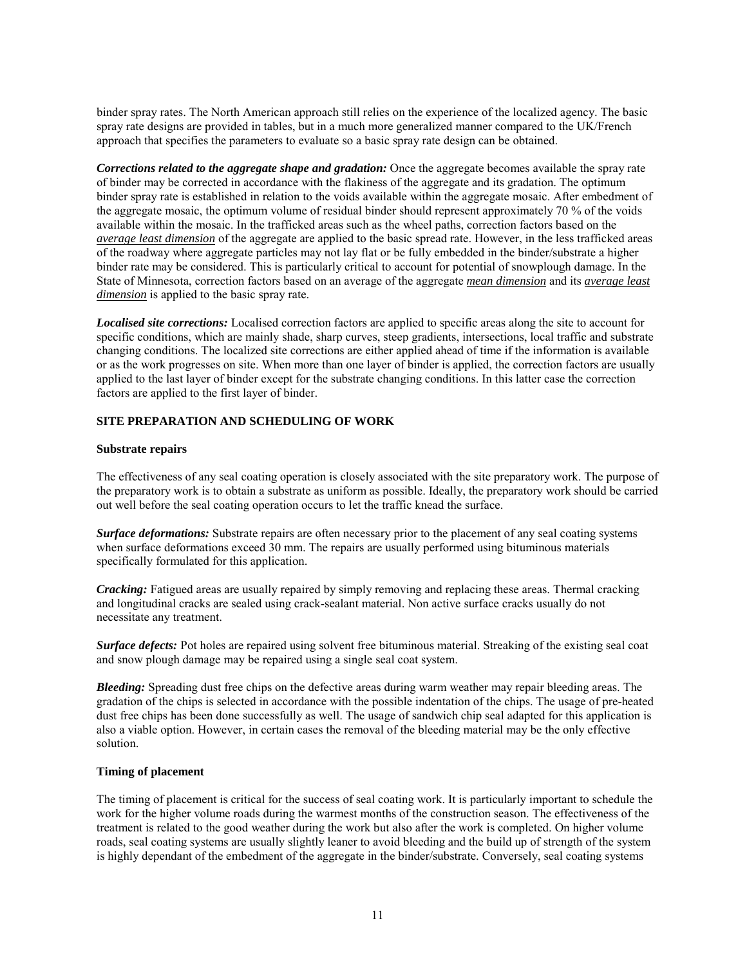binder spray rates. The North American approach still relies on the experience of the localized agency. The basic spray rate designs are provided in tables, but in a much more generalized manner compared to the UK/French approach that specifies the parameters to evaluate so a basic spray rate design can be obtained.

*Corrections related to the aggregate shape and gradation:* Once the aggregate becomes available the spray rate of binder may be corrected in accordance with the flakiness of the aggregate and its gradation. The optimum binder spray rate is established in relation to the voids available within the aggregate mosaic. After embedment of the aggregate mosaic, the optimum volume of residual binder should represent approximately 70 % of the voids available within the mosaic. In the trafficked areas such as the wheel paths, correction factors based on the *average least dimension* of the aggregate are applied to the basic spread rate. However, in the less trafficked areas of the roadway where aggregate particles may not lay flat or be fully embedded in the binder/substrate a higher binder rate may be considered. This is particularly critical to account for potential of snowplough damage. In the State of Minnesota, correction factors based on an average of the aggregate *mean dimension* and its *average least dimension* is applied to the basic spray rate.

*Localised site corrections:* Localised correction factors are applied to specific areas along the site to account for specific conditions, which are mainly shade, sharp curves, steep gradients, intersections, local traffic and substrate changing conditions. The localized site corrections are either applied ahead of time if the information is available or as the work progresses on site. When more than one layer of binder is applied, the correction factors are usually applied to the last layer of binder except for the substrate changing conditions. In this latter case the correction factors are applied to the first layer of binder.

## **SITE PREPARATION AND SCHEDULING OF WORK**

### **Substrate repairs**

The effectiveness of any seal coating operation is closely associated with the site preparatory work. The purpose of the preparatory work is to obtain a substrate as uniform as possible. Ideally, the preparatory work should be carried out well before the seal coating operation occurs to let the traffic knead the surface.

*Surface deformations:* Substrate repairs are often necessary prior to the placement of any seal coating systems when surface deformations exceed 30 mm. The repairs are usually performed using bituminous materials specifically formulated for this application.

*Cracking:* Fatigued areas are usually repaired by simply removing and replacing these areas. Thermal cracking and longitudinal cracks are sealed using crack-sealant material. Non active surface cracks usually do not necessitate any treatment.

*Surface defects:* Pot holes are repaired using solvent free bituminous material. Streaking of the existing seal coat and snow plough damage may be repaired using a single seal coat system.

*Bleeding:* Spreading dust free chips on the defective areas during warm weather may repair bleeding areas. The gradation of the chips is selected in accordance with the possible indentation of the chips. The usage of pre-heated dust free chips has been done successfully as well. The usage of sandwich chip seal adapted for this application is also a viable option. However, in certain cases the removal of the bleeding material may be the only effective solution.

## **Timing of placement**

The timing of placement is critical for the success of seal coating work. It is particularly important to schedule the work for the higher volume roads during the warmest months of the construction season. The effectiveness of the treatment is related to the good weather during the work but also after the work is completed. On higher volume roads, seal coating systems are usually slightly leaner to avoid bleeding and the build up of strength of the system is highly dependant of the embedment of the aggregate in the binder/substrate. Conversely, seal coating systems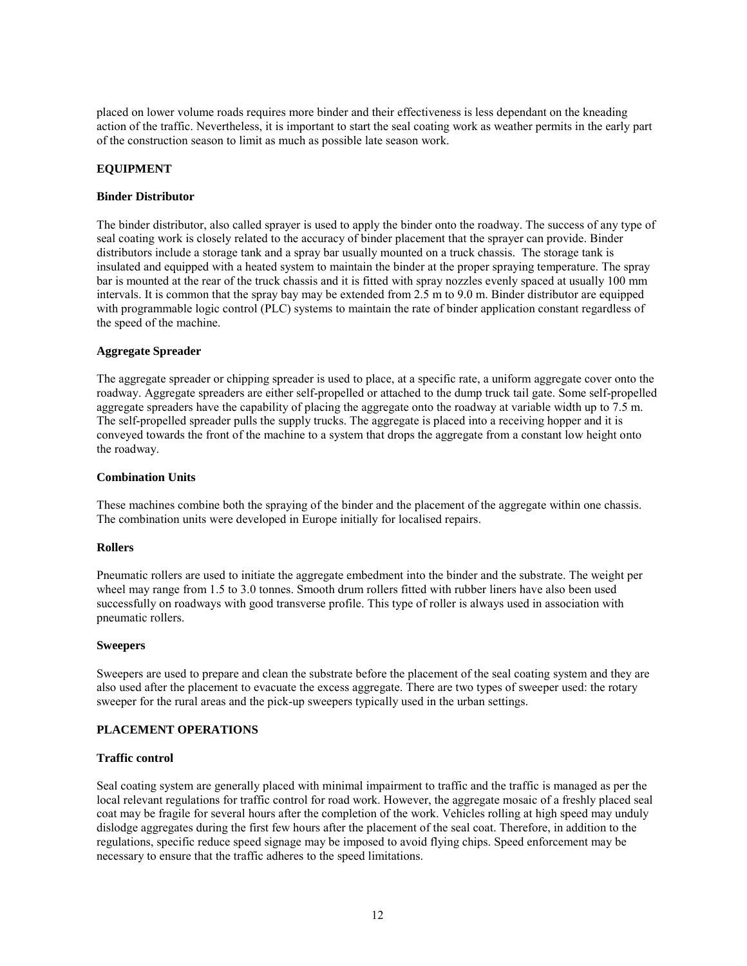placed on lower volume roads requires more binder and their effectiveness is less dependant on the kneading action of the traffic. Nevertheless, it is important to start the seal coating work as weather permits in the early part of the construction season to limit as much as possible late season work.

## **EQUIPMENT**

## **Binder Distributor**

The binder distributor, also called sprayer is used to apply the binder onto the roadway. The success of any type of seal coating work is closely related to the accuracy of binder placement that the sprayer can provide. Binder distributors include a storage tank and a spray bar usually mounted on a truck chassis. The storage tank is insulated and equipped with a heated system to maintain the binder at the proper spraying temperature. The spray bar is mounted at the rear of the truck chassis and it is fitted with spray nozzles evenly spaced at usually 100 mm intervals. It is common that the spray bay may be extended from 2.5 m to 9.0 m. Binder distributor are equipped with programmable logic control (PLC) systems to maintain the rate of binder application constant regardless of the speed of the machine.

### **Aggregate Spreader**

The aggregate spreader or chipping spreader is used to place, at a specific rate, a uniform aggregate cover onto the roadway. Aggregate spreaders are either self-propelled or attached to the dump truck tail gate. Some self-propelled aggregate spreaders have the capability of placing the aggregate onto the roadway at variable width up to 7.5 m. The self-propelled spreader pulls the supply trucks. The aggregate is placed into a receiving hopper and it is conveyed towards the front of the machine to a system that drops the aggregate from a constant low height onto the roadway.

## **Combination Units**

These machines combine both the spraying of the binder and the placement of the aggregate within one chassis. The combination units were developed in Europe initially for localised repairs.

### **Rollers**

Pneumatic rollers are used to initiate the aggregate embedment into the binder and the substrate. The weight per wheel may range from 1.5 to 3.0 tonnes. Smooth drum rollers fitted with rubber liners have also been used successfully on roadways with good transverse profile. This type of roller is always used in association with pneumatic rollers.

### **Sweepers**

Sweepers are used to prepare and clean the substrate before the placement of the seal coating system and they are also used after the placement to evacuate the excess aggregate. There are two types of sweeper used: the rotary sweeper for the rural areas and the pick-up sweepers typically used in the urban settings.

### **PLACEMENT OPERATIONS**

## **Traffic control**

Seal coating system are generally placed with minimal impairment to traffic and the traffic is managed as per the local relevant regulations for traffic control for road work. However, the aggregate mosaic of a freshly placed seal coat may be fragile for several hours after the completion of the work. Vehicles rolling at high speed may unduly dislodge aggregates during the first few hours after the placement of the seal coat. Therefore, in addition to the regulations, specific reduce speed signage may be imposed to avoid flying chips. Speed enforcement may be necessary to ensure that the traffic adheres to the speed limitations.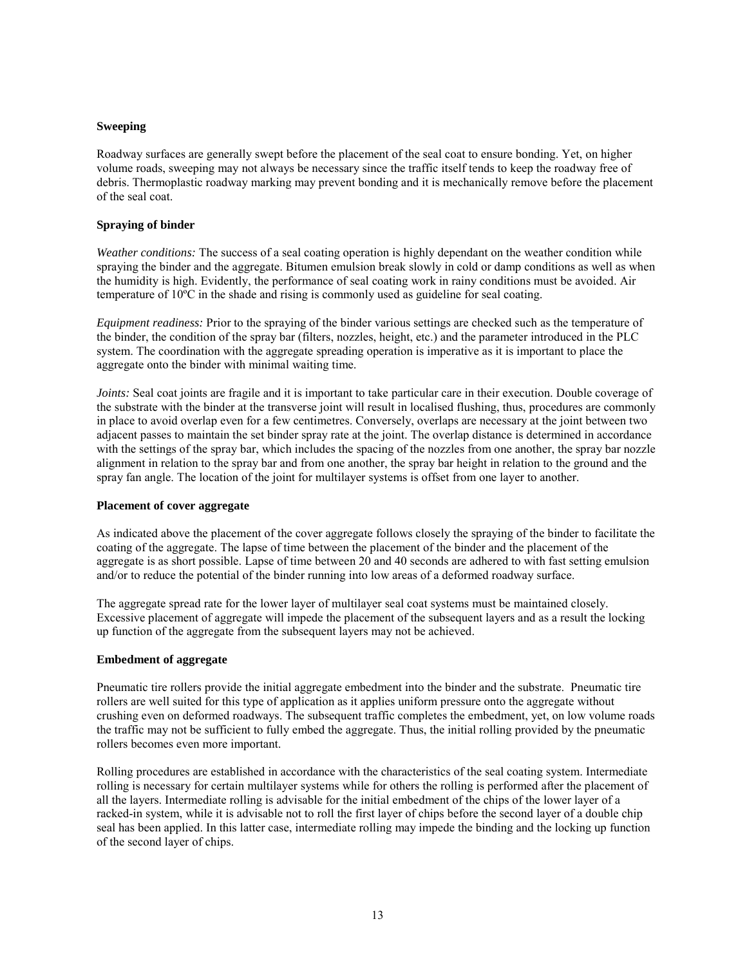## **Sweeping**

Roadway surfaces are generally swept before the placement of the seal coat to ensure bonding. Yet, on higher volume roads, sweeping may not always be necessary since the traffic itself tends to keep the roadway free of debris. Thermoplastic roadway marking may prevent bonding and it is mechanically remove before the placement of the seal coat.

## **Spraying of binder**

*Weather conditions:* The success of a seal coating operation is highly dependant on the weather condition while spraying the binder and the aggregate. Bitumen emulsion break slowly in cold or damp conditions as well as when the humidity is high. Evidently, the performance of seal coating work in rainy conditions must be avoided. Air temperature of 10ºC in the shade and rising is commonly used as guideline for seal coating.

*Equipment readiness:* Prior to the spraying of the binder various settings are checked such as the temperature of the binder, the condition of the spray bar (filters, nozzles, height, etc.) and the parameter introduced in the PLC system. The coordination with the aggregate spreading operation is imperative as it is important to place the aggregate onto the binder with minimal waiting time.

*Joints:* Seal coat joints are fragile and it is important to take particular care in their execution. Double coverage of the substrate with the binder at the transverse joint will result in localised flushing, thus, procedures are commonly in place to avoid overlap even for a few centimetres. Conversely, overlaps are necessary at the joint between two adjacent passes to maintain the set binder spray rate at the joint. The overlap distance is determined in accordance with the settings of the spray bar, which includes the spacing of the nozzles from one another, the spray bar nozzle alignment in relation to the spray bar and from one another, the spray bar height in relation to the ground and the spray fan angle. The location of the joint for multilayer systems is offset from one layer to another.

### **Placement of cover aggregate**

As indicated above the placement of the cover aggregate follows closely the spraying of the binder to facilitate the coating of the aggregate. The lapse of time between the placement of the binder and the placement of the aggregate is as short possible. Lapse of time between 20 and 40 seconds are adhered to with fast setting emulsion and/or to reduce the potential of the binder running into low areas of a deformed roadway surface.

The aggregate spread rate for the lower layer of multilayer seal coat systems must be maintained closely. Excessive placement of aggregate will impede the placement of the subsequent layers and as a result the locking up function of the aggregate from the subsequent layers may not be achieved.

### **Embedment of aggregate**

Pneumatic tire rollers provide the initial aggregate embedment into the binder and the substrate. Pneumatic tire rollers are well suited for this type of application as it applies uniform pressure onto the aggregate without crushing even on deformed roadways. The subsequent traffic completes the embedment, yet, on low volume roads the traffic may not be sufficient to fully embed the aggregate. Thus, the initial rolling provided by the pneumatic rollers becomes even more important.

Rolling procedures are established in accordance with the characteristics of the seal coating system. Intermediate rolling is necessary for certain multilayer systems while for others the rolling is performed after the placement of all the layers. Intermediate rolling is advisable for the initial embedment of the chips of the lower layer of a racked-in system, while it is advisable not to roll the first layer of chips before the second layer of a double chip seal has been applied. In this latter case, intermediate rolling may impede the binding and the locking up function of the second layer of chips.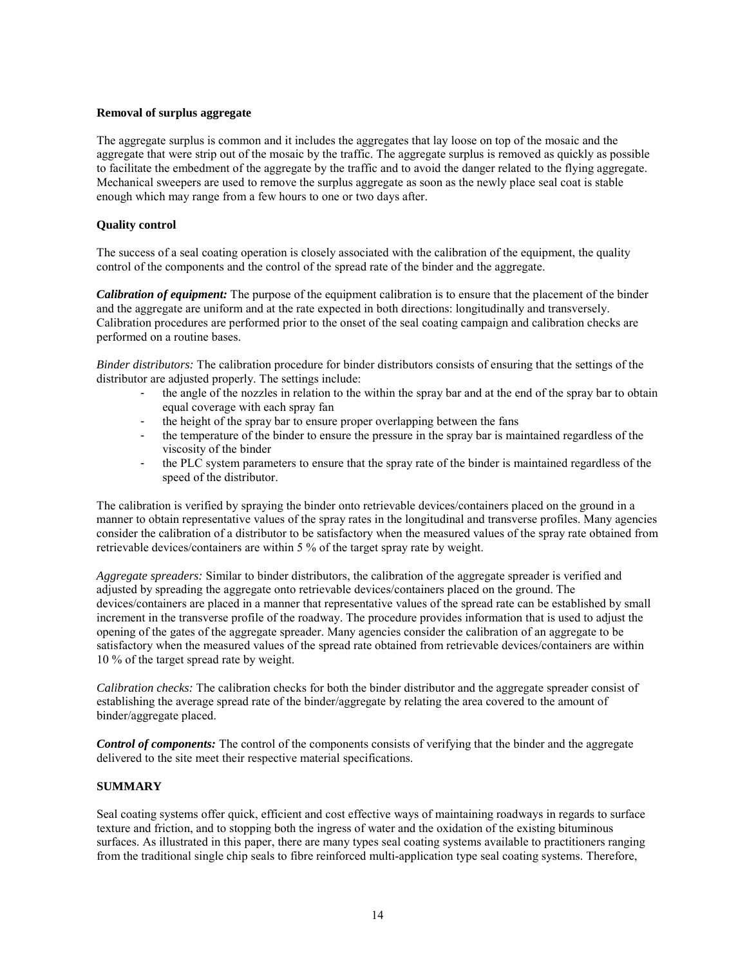# **Removal of surplus aggregate**

The aggregate surplus is common and it includes the aggregates that lay loose on top of the mosaic and the aggregate that were strip out of the mosaic by the traffic. The aggregate surplus is removed as quickly as possible to facilitate the embedment of the aggregate by the traffic and to avoid the danger related to the flying aggregate. Mechanical sweepers are used to remove the surplus aggregate as soon as the newly place seal coat is stable enough which may range from a few hours to one or two days after.

## **Quality control**

The success of a seal coating operation is closely associated with the calibration of the equipment, the quality control of the components and the control of the spread rate of the binder and the aggregate.

*Calibration of equipment:* The purpose of the equipment calibration is to ensure that the placement of the binder and the aggregate are uniform and at the rate expected in both directions: longitudinally and transversely. Calibration procedures are performed prior to the onset of the seal coating campaign and calibration checks are performed on a routine bases.

*Binder distributors:* The calibration procedure for binder distributors consists of ensuring that the settings of the distributor are adjusted properly. The settings include:

- the angle of the nozzles in relation to the within the spray bar and at the end of the spray bar to obtain equal coverage with each spray fan
- the height of the spray bar to ensure proper overlapping between the fans
- the temperature of the binder to ensure the pressure in the spray bar is maintained regardless of the viscosity of the binder
- the PLC system parameters to ensure that the spray rate of the binder is maintained regardless of the speed of the distributor.

The calibration is verified by spraying the binder onto retrievable devices/containers placed on the ground in a manner to obtain representative values of the spray rates in the longitudinal and transverse profiles. Many agencies consider the calibration of a distributor to be satisfactory when the measured values of the spray rate obtained from retrievable devices/containers are within 5 % of the target spray rate by weight.

*Aggregate spreaders:* Similar to binder distributors, the calibration of the aggregate spreader is verified and adjusted by spreading the aggregate onto retrievable devices/containers placed on the ground. The devices/containers are placed in a manner that representative values of the spread rate can be established by small increment in the transverse profile of the roadway. The procedure provides information that is used to adjust the opening of the gates of the aggregate spreader. Many agencies consider the calibration of an aggregate to be satisfactory when the measured values of the spread rate obtained from retrievable devices/containers are within 10 % of the target spread rate by weight.

*Calibration checks:* The calibration checks for both the binder distributor and the aggregate spreader consist of establishing the average spread rate of the binder/aggregate by relating the area covered to the amount of binder/aggregate placed.

*Control of components:* The control of the components consists of verifying that the binder and the aggregate delivered to the site meet their respective material specifications.

## **SUMMARY**

Seal coating systems offer quick, efficient and cost effective ways of maintaining roadways in regards to surface texture and friction, and to stopping both the ingress of water and the oxidation of the existing bituminous surfaces. As illustrated in this paper, there are many types seal coating systems available to practitioners ranging from the traditional single chip seals to fibre reinforced multi-application type seal coating systems. Therefore,